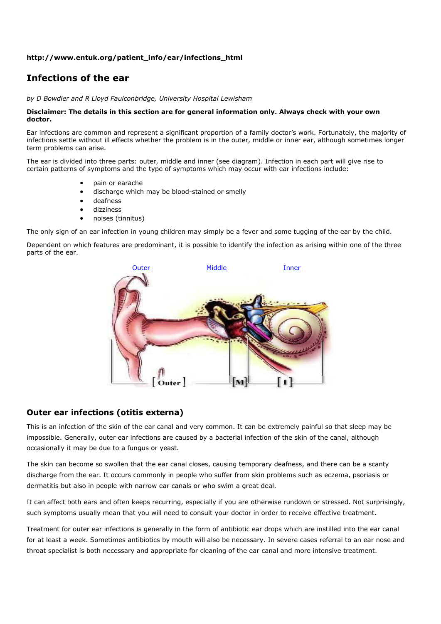### **http://www.entuk.org/patient\_info/ear/infections\_html**

# **Infections of the ear**

*by D Bowdler and R Lloyd Faulconbridge, University Hospital Lewisham*

#### **Disclaimer: The details in this section are for general information only. Always check with your own doctor.**

Ear infections are common and represent a significant proportion of a family doctor's work. Fortunately, the majority of infections settle without ill effects whether the problem is in the outer, middle or inner ear, although sometimes longer term problems can arise.

The ear is divided into three parts: outer, middle and inner (see diagram). Infection in each part will give rise to certain patterns of symptoms and the type of symptoms which may occur with ear infections include:

- pain or earache
- discharge which may be blood-stained or smelly
- deafness
- dizziness
- noises (tinnitus)

The only sign of an ear infection in young children may simply be a fever and some tugging of the ear by the child.

Dependent on which features are predominant, it is possible to identify the infection as arising within one of the three parts of the ear.



# **Outer ear infections (otitis externa)**

This is an infection of the skin of the ear canal and very common. It can be extremely painful so that sleep may be impossible. Generally, outer ear infections are caused by a bacterial infection of the skin of the canal, although occasionally it may be due to a fungus or yeast.

The skin can become so swollen that the ear canal closes, causing temporary deafness, and there can be a scanty discharge from the ear. It occurs commonly in people who suffer from skin problems such as eczema, psoriasis or dermatitis but also in people with narrow ear canals or who swim a great deal.

It can affect both ears and often keeps recurring, especially if you are otherwise rundown or stressed. Not surprisingly, such symptoms usually mean that you will need to consult your doctor in order to receive effective treatment.

Treatment for outer ear infections is generally in the form of antibiotic ear drops which are instilled into the ear canal for at least a week. Sometimes antibiotics by mouth will also be necessary. In severe cases referral to an ear nose and throat specialist is both necessary and appropriate for cleaning of the ear canal and more intensive treatment.